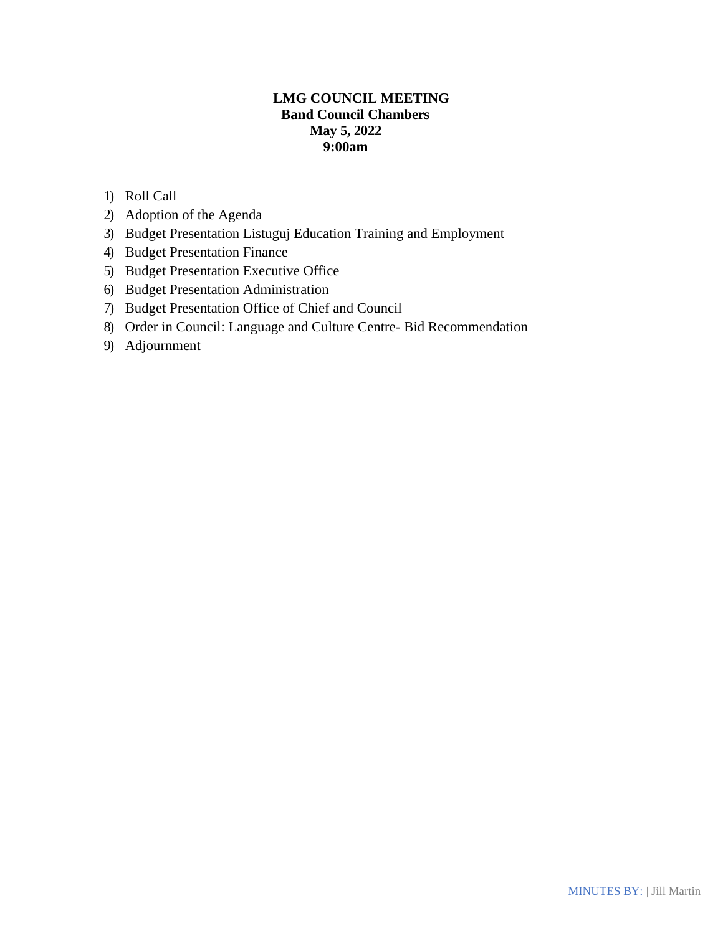# **LMG COUNCIL MEETING Band Council Chambers May 5, 2022 9:00am**

- 1) Roll Call
- 2) Adoption of the Agenda
- 3) Budget Presentation Listuguj Education Training and Employment
- 4) Budget Presentation Finance
- 5) Budget Presentation Executive Office
- 6) Budget Presentation Administration
- 7) Budget Presentation Office of Chief and Council
- 8) Order in Council: Language and Culture Centre- Bid Recommendation
- 9) Adjournment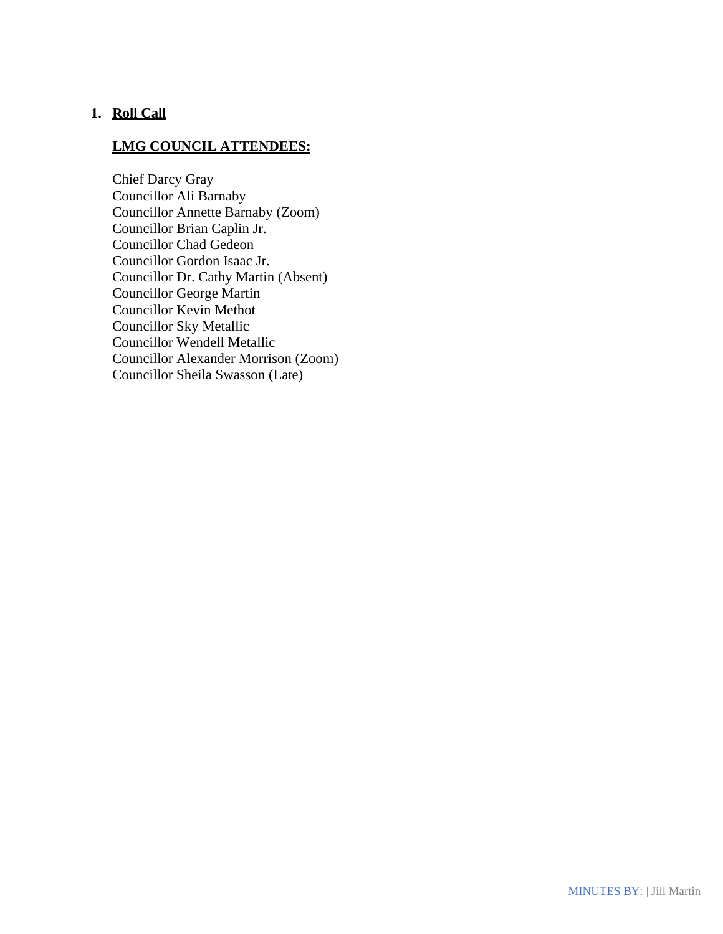## **1. Roll Call**

## **LMG COUNCIL ATTENDEES:**

Chief Darcy Gray Councillor Ali Barnaby Councillor Annette Barnaby (Zoom) Councillor Brian Caplin Jr. Councillor Chad Gedeon Councillor Gordon Isaac Jr. Councillor Dr. Cathy Martin (Absent) Councillor George Martin Councillor Kevin Methot Councillor Sky Metallic Councillor Wendell Metallic Councillor Alexander Morrison (Zoom) Councillor Sheila Swasson (Late)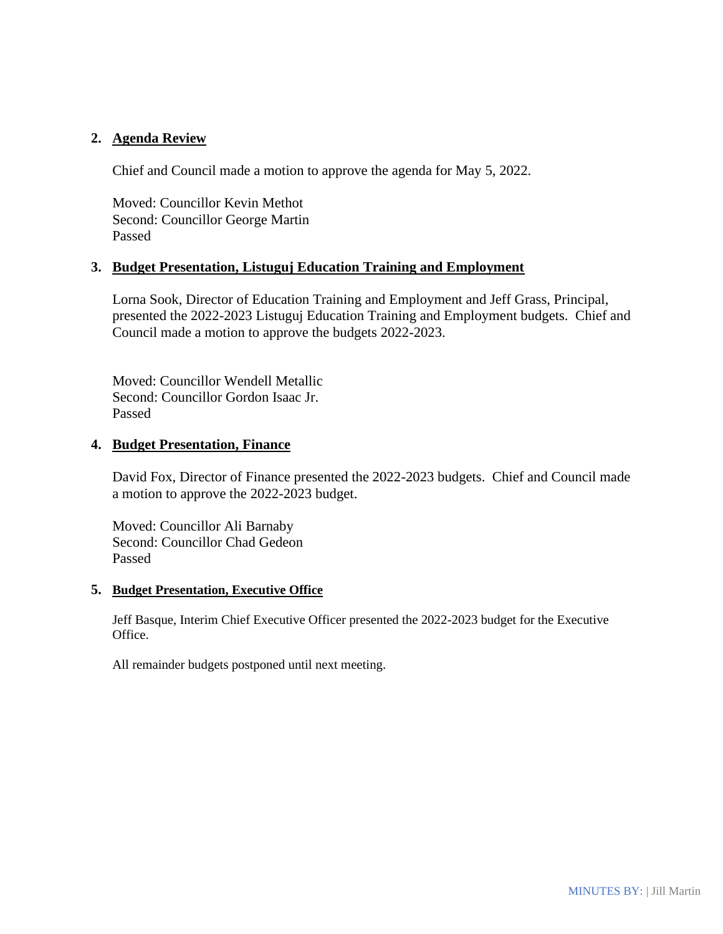### **2. Agenda Review**

Chief and Council made a motion to approve the agenda for May 5, 2022.

Moved: Councillor Kevin Methot Second: Councillor George Martin Passed

### **3. Budget Presentation, Listuguj Education Training and Employment**

Lorna Sook, Director of Education Training and Employment and Jeff Grass, Principal, presented the 2022-2023 Listuguj Education Training and Employment budgets. Chief and Council made a motion to approve the budgets 2022-2023.

Moved: Councillor Wendell Metallic Second: Councillor Gordon Isaac Jr. Passed

#### **4. Budget Presentation, Finance**

David Fox, Director of Finance presented the 2022-2023 budgets. Chief and Council made a motion to approve the 2022-2023 budget.

Moved: Councillor Ali Barnaby Second: Councillor Chad Gedeon Passed

#### **5. Budget Presentation, Executive Office**

Jeff Basque, Interim Chief Executive Officer presented the 2022-2023 budget for the Executive Office.

All remainder budgets postponed until next meeting.